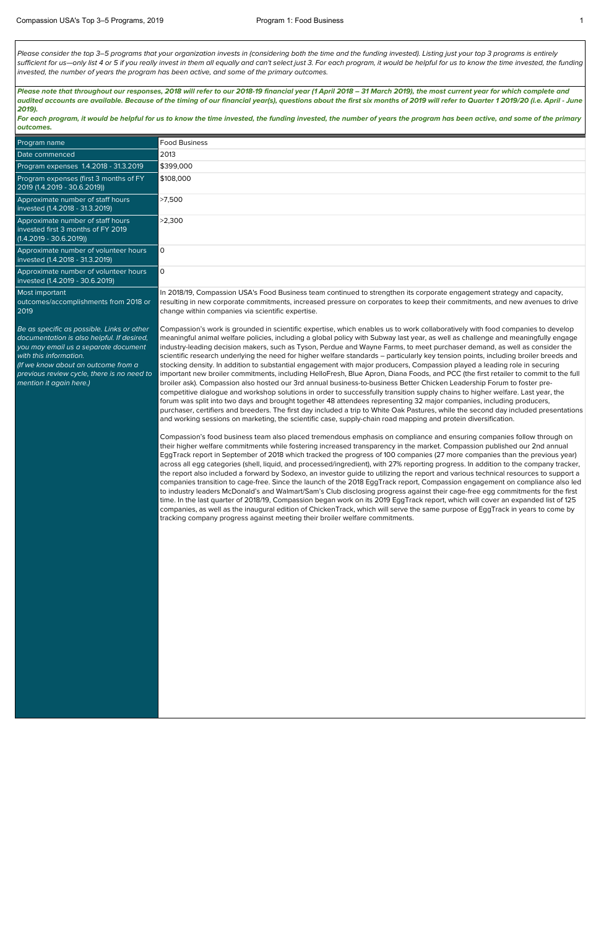Please consider the top 3-5 programs that your organization invests in (considering both the time and the funding invested). Listing just your top 3 programs is entirely sufficient for us—only list 4 or 5 if you really invest in them all equally and can't select just 3. For each program, it would be helpful for us to know the time invested, the funding invested, the number of years the program has been active, and some of the primary outcomes.

For each program, it would be helpful for us to know the time invested, the funding invested, the number of years the program has been active, and some of the primary **outcomes.**

**Please note that throughout our responses, 2018 will refer to our 2018-19 financial year (1 April 2018 – 31 March 2019), the most current year for which complete and audited accounts are available. Because of the timing of our financial year(s), questions about the first six months of 2019 will refer to Quarter 1 2019/20 (i.e. April - June 2019).**

| Program name                                                                                                                                                                                                                                                               | <b>Food Business</b>                                                                                                                                                                                                                                                                                                                                                                                                                                                                                                                                                                                                                                                                                                                                                                                                                                                                                                                                                                                                                                                                                                                                                                                                                                                                                                                                                                                                                                                                                                                                                                                                                                                                                                                                                                                                                                   |
|----------------------------------------------------------------------------------------------------------------------------------------------------------------------------------------------------------------------------------------------------------------------------|--------------------------------------------------------------------------------------------------------------------------------------------------------------------------------------------------------------------------------------------------------------------------------------------------------------------------------------------------------------------------------------------------------------------------------------------------------------------------------------------------------------------------------------------------------------------------------------------------------------------------------------------------------------------------------------------------------------------------------------------------------------------------------------------------------------------------------------------------------------------------------------------------------------------------------------------------------------------------------------------------------------------------------------------------------------------------------------------------------------------------------------------------------------------------------------------------------------------------------------------------------------------------------------------------------------------------------------------------------------------------------------------------------------------------------------------------------------------------------------------------------------------------------------------------------------------------------------------------------------------------------------------------------------------------------------------------------------------------------------------------------------------------------------------------------------------------------------------------------|
| Date commenced                                                                                                                                                                                                                                                             | 2013                                                                                                                                                                                                                                                                                                                                                                                                                                                                                                                                                                                                                                                                                                                                                                                                                                                                                                                                                                                                                                                                                                                                                                                                                                                                                                                                                                                                                                                                                                                                                                                                                                                                                                                                                                                                                                                   |
| Program expenses 1.4.2018 - 31.3.2019                                                                                                                                                                                                                                      | \$399,000                                                                                                                                                                                                                                                                                                                                                                                                                                                                                                                                                                                                                                                                                                                                                                                                                                                                                                                                                                                                                                                                                                                                                                                                                                                                                                                                                                                                                                                                                                                                                                                                                                                                                                                                                                                                                                              |
| Program expenses (first 3 months of FY<br>2019 (1.4.2019 - 30.6.2019))                                                                                                                                                                                                     | \$108,000                                                                                                                                                                                                                                                                                                                                                                                                                                                                                                                                                                                                                                                                                                                                                                                                                                                                                                                                                                                                                                                                                                                                                                                                                                                                                                                                                                                                                                                                                                                                                                                                                                                                                                                                                                                                                                              |
| Approximate number of staff hours<br>invested (1.4.2018 - 31.3.2019)                                                                                                                                                                                                       | >7,500                                                                                                                                                                                                                                                                                                                                                                                                                                                                                                                                                                                                                                                                                                                                                                                                                                                                                                                                                                                                                                                                                                                                                                                                                                                                                                                                                                                                                                                                                                                                                                                                                                                                                                                                                                                                                                                 |
| Approximate number of staff hours<br>invested first 3 months of FY 2019<br>$(1.4.2019 - 30.6.2019))$                                                                                                                                                                       | >2,300                                                                                                                                                                                                                                                                                                                                                                                                                                                                                                                                                                                                                                                                                                                                                                                                                                                                                                                                                                                                                                                                                                                                                                                                                                                                                                                                                                                                                                                                                                                                                                                                                                                                                                                                                                                                                                                 |
| Approximate number of volunteer hours<br>invested (1.4.2018 - 31.3.2019)                                                                                                                                                                                                   | $\mathsf{O}$                                                                                                                                                                                                                                                                                                                                                                                                                                                                                                                                                                                                                                                                                                                                                                                                                                                                                                                                                                                                                                                                                                                                                                                                                                                                                                                                                                                                                                                                                                                                                                                                                                                                                                                                                                                                                                           |
| Approximate number of volunteer hours<br>invested (1.4.2019 - 30.6.2019)                                                                                                                                                                                                   | $\mathsf{O}$                                                                                                                                                                                                                                                                                                                                                                                                                                                                                                                                                                                                                                                                                                                                                                                                                                                                                                                                                                                                                                                                                                                                                                                                                                                                                                                                                                                                                                                                                                                                                                                                                                                                                                                                                                                                                                           |
| Most important<br>outcomes/accomplishments from 2018 or<br>2019                                                                                                                                                                                                            | In 2018/19, Compassion USA's Food Business team continued to strengthen its corporate engagement strategy and capacity,<br>resulting in new corporate commitments, increased pressure on corporates to keep their commitments, and new avenues to drive<br>change within companies via scientific expertise.                                                                                                                                                                                                                                                                                                                                                                                                                                                                                                                                                                                                                                                                                                                                                                                                                                                                                                                                                                                                                                                                                                                                                                                                                                                                                                                                                                                                                                                                                                                                           |
| Be as specific as possible. Links or other<br>documentation is also helpful. If desired,<br>you may email us a separate document<br>with this information.<br>(If we know about an outcome from a<br>previous review cycle, there is no need to<br>mention it again here.) | Compassion's work is grounded in scientific expertise, which enables us to work collaboratively with food companies to develop<br>meaningful animal welfare policies, including a global policy with Subway last year, as well as challenge and meaningfully engage<br>industry-leading decision makers, such as Tyson, Perdue and Wayne Farms, to meet purchaser demand, as well as consider the<br>scientific research underlying the need for higher welfare standards - particularly key tension points, including broiler breeds and<br>stocking density. In addition to substantial engagement with major producers, Compassion played a leading role in securing<br>important new broiler commitments, including HelloFresh, Blue Apron, Diana Foods, and PCC (the first retailer to commit to the full<br>broiler ask). Compassion also hosted our 3rd annual business-to-business Better Chicken Leadership Forum to foster pre-<br>competitive dialogue and workshop solutions in order to successfully transition supply chains to higher welfare. Last year, the<br>forum was split into two days and brought together 48 attendees representing 32 major companies, including producers,<br>purchaser, certifiers and breeders. The first day included a trip to White Oak Pastures, while the second day included presentations<br>and working sessions on marketing, the scientific case, supply-chain road mapping and protein diversification.<br>Compassion's food business team also placed tremendous emphasis on compliance and ensuring companies follow through on<br>their higher welfare commitments while fostering increased transparency in the market. Compassion published our 2nd annual<br>EggTrack report in September of 2018 which tracked the progress of 100 companies (27 more companies than the previous year) |

across all egg categories (shell, liquid, and processed/ingredient), with 27% reporting progress. In addition to the company tracker, the report also included a forward by Sodexo, an investor guide to utilizing the report and various technical resources to support a companies transition to cage-free. Since the launch of the 2018 EggTrack report, Compassion engagement on compliance also led to industry leaders McDonald's and Walmart/Sam's Club disclosing progress against their cage-free egg commitments for the first time. In the last quarter of 2018/19, Compassion began work on its 2019 EggTrack report, which will cover an expanded list of 125 companies, as well as the inaugural edition of ChickenTrack, which will serve the same purpose of EggTrack in years to come by tracking company progress against meeting their broiler welfare commitments.

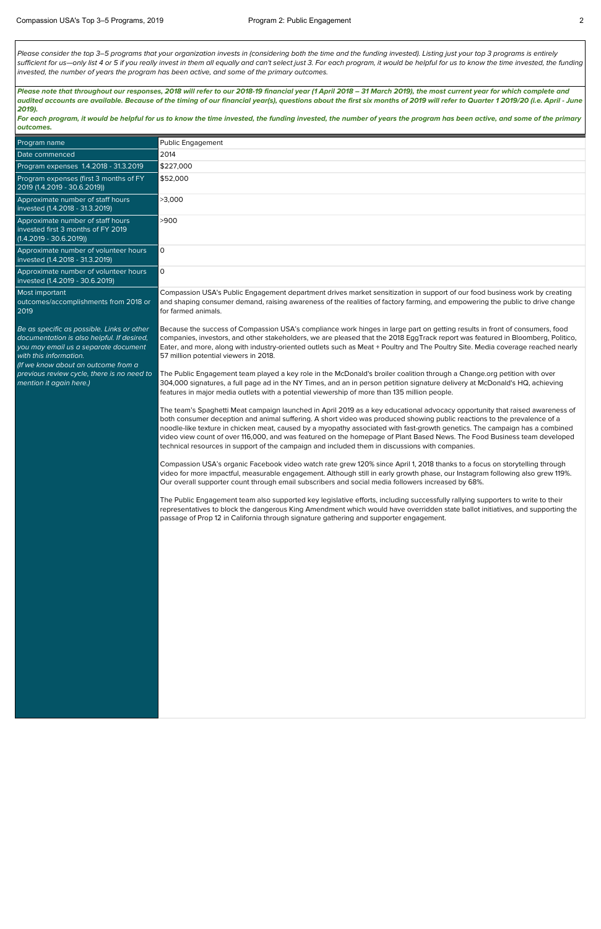Please consider the top 3–5 programs that your organization invests in (considering both the time and the funding invested). Listing just your top 3 programs is entirely sufficient for us—only list 4 or 5 if you really invest in them all equally and can't select just 3. For each program, it would be helpful for us to know the time invested, the funding invested, the number of years the program has been active, and some of the primary outcomes.

**Please note that throughout our responses, 2018 will refer to our 2018-19 financial year (1 April 2018 – 31 March 2019), the most current year for which complete and audited accounts are available. Because of the timing of our financial year(s), questions about the first six months of 2019 will refer to Quarter 1 2019/20 (i.e. April - June 2019).**

**For each program, it would be helpful for us to know the time invested, the funding invested, the number of years the program has been active, and some of the primary outcomes.**

| Public Engagement                                                                                                                                                                                                                                                                                                                                                                                                                                                                                                                                                                                                      |
|------------------------------------------------------------------------------------------------------------------------------------------------------------------------------------------------------------------------------------------------------------------------------------------------------------------------------------------------------------------------------------------------------------------------------------------------------------------------------------------------------------------------------------------------------------------------------------------------------------------------|
| 2014                                                                                                                                                                                                                                                                                                                                                                                                                                                                                                                                                                                                                   |
| \$227,000                                                                                                                                                                                                                                                                                                                                                                                                                                                                                                                                                                                                              |
| \$52,000                                                                                                                                                                                                                                                                                                                                                                                                                                                                                                                                                                                                               |
| >3,000                                                                                                                                                                                                                                                                                                                                                                                                                                                                                                                                                                                                                 |
| >900                                                                                                                                                                                                                                                                                                                                                                                                                                                                                                                                                                                                                   |
| $\mathsf{O}\xspace$                                                                                                                                                                                                                                                                                                                                                                                                                                                                                                                                                                                                    |
| $\mathsf{O}\xspace$                                                                                                                                                                                                                                                                                                                                                                                                                                                                                                                                                                                                    |
| Compassion USA's Public Engagement department drives market sensitization in support of our food business work by creating<br>and shaping consumer demand, raising awareness of the realities of factory farming, and empowering the public to drive change<br>for farmed animals.                                                                                                                                                                                                                                                                                                                                     |
| Because the success of Compassion USA's compliance work hinges in large part on getting results in front of consumers, food<br>companies, investors, and other stakeholders, we are pleased that the 2018 EggTrack report was featured in Bloomberg, Politico,<br>Eater, and more, along with industry-oriented outlets such as Meat + Poultry and The Poultry Site. Media coverage reached nearly<br>57 million potential viewers in 2018.                                                                                                                                                                            |
| The Public Engagement team played a key role in the McDonald's broiler coalition through a Change.org petition with over<br>304,000 signatures, a full page ad in the NY Times, and an in person petition signature delivery at McDonald's HQ, achieving<br>features in major media outlets with a potential viewership of more than 135 million people.                                                                                                                                                                                                                                                               |
| The team's Spaghetti Meat campaign launched in April 2019 as a key educational advocacy opportunity that raised awareness of<br>both consumer deception and animal suffering. A short video was produced showing public reactions to the prevalence of a<br>noodle-like texture in chicken meat, caused by a myopathy associated with fast-growth genetics. The campaign has a combined<br>video view count of over 116,000, and was featured on the homepage of Plant Based News. The Food Business team developed<br>technical resources in support of the campaign and included them in discussions with companies. |
| Compassion USA's organic Facebook video watch rate grew 120% since April 1, 2018 thanks to a focus on storytelling through<br>video for more impactful, measurable engagement. Although still in early growth phase, our Instagram following also grew 119%.<br>Our overall supporter count through email subscribers and social media followers increased by 68%.                                                                                                                                                                                                                                                     |
| The Public Engagement team also supported key legislative efforts, including successfully rallying supporters to write to their<br>representatives to block the dangerous King Amendment which would have overridden state ballot initiatives, and supporting the<br>passage of Prop 12 in California through signature gathering and supporter engagement.                                                                                                                                                                                                                                                            |
|                                                                                                                                                                                                                                                                                                                                                                                                                                                                                                                                                                                                                        |
|                                                                                                                                                                                                                                                                                                                                                                                                                                                                                                                                                                                                                        |
|                                                                                                                                                                                                                                                                                                                                                                                                                                                                                                                                                                                                                        |
|                                                                                                                                                                                                                                                                                                                                                                                                                                                                                                                                                                                                                        |
|                                                                                                                                                                                                                                                                                                                                                                                                                                                                                                                                                                                                                        |